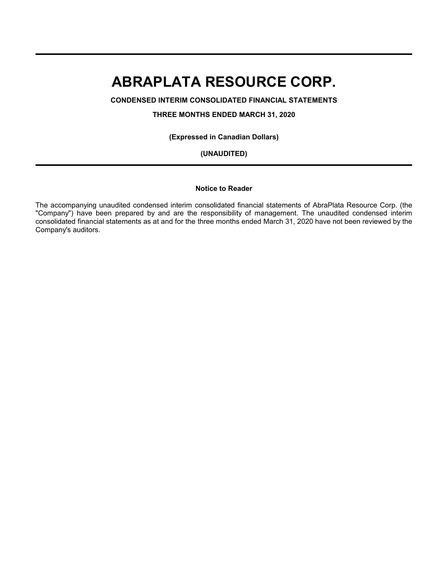**CONDENSED INTERIM CONSOLIDATED FINANCIAL STATEMENTS**

**THREE MONTHS ENDED MARCH 31, 2020**

**(Expressed in Canadian Dollars)**

**(UNAUDITED)**

#### **Notice to Reader**

The accompanying unaudited condensed interim consolidated financial statements of AbraPlata Resource Corp. (the "Company") have been prepared by and are the responsibility of management. The unaudited condensed interim consolidated financial statements as at and for the three months ended March 31, 2020 have not been reviewed by the Company's auditors.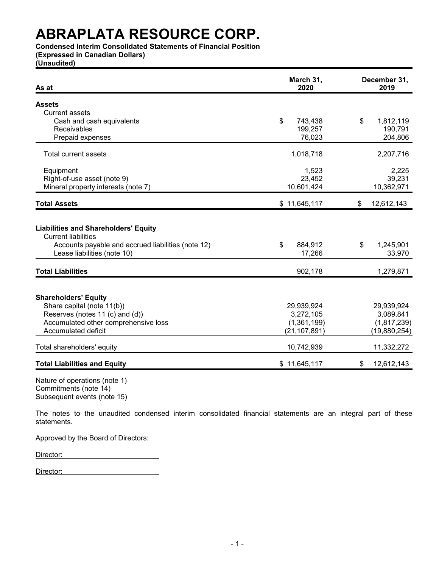**Condensed Interim Consolidated Statements of Financial Position**

**(Expressed in Canadian Dollars)**

**(Unaudited)**

| As at                                                                                                                                                              | March 31,<br>2020                                        | December 31,<br>2019                                   |
|--------------------------------------------------------------------------------------------------------------------------------------------------------------------|----------------------------------------------------------|--------------------------------------------------------|
| <b>Assets</b>                                                                                                                                                      |                                                          |                                                        |
| <b>Current assets</b>                                                                                                                                              |                                                          |                                                        |
| Cash and cash equivalents                                                                                                                                          | \$<br>743,438                                            | \$<br>1,812,119                                        |
| Receivables                                                                                                                                                        | 199,257                                                  | 190,791                                                |
| Prepaid expenses                                                                                                                                                   | 76,023                                                   | 204,806                                                |
| <b>Total current assets</b>                                                                                                                                        | 1,018,718                                                | 2,207,716                                              |
| Equipment                                                                                                                                                          | 1,523                                                    | 2,225                                                  |
| Right-of-use asset (note 9)                                                                                                                                        | 23,452                                                   | 39,231                                                 |
| Mineral property interests (note 7)                                                                                                                                | 10,601,424                                               | 10,362,971                                             |
| <b>Total Assets</b>                                                                                                                                                | \$11,645,117                                             | \$<br>12,612,143                                       |
| <b>Liabilities and Shareholders' Equity</b><br><b>Current liabilities</b><br>Accounts payable and accrued liabilities (note 12)<br>Lease liabilities (note 10)     | \$<br>884,912<br>17,266                                  | \$<br>1,245,901<br>33,970                              |
| <b>Total Liabilities</b>                                                                                                                                           | 902,178                                                  | 1,279,871                                              |
| <b>Shareholders' Equity</b><br>Share capital (note 11(b))<br>Reserves (notes 11 (c) and (d))<br>Accumulated other comprehensive loss<br><b>Accumulated deficit</b> | 29,939,924<br>3,272,105<br>(1,361,199)<br>(21, 107, 891) | 29,939,924<br>3,089,841<br>(1,817,239)<br>(19,880,254) |
| Total shareholders' equity                                                                                                                                         | 10,742,939                                               | 11,332,272                                             |
| <b>Total Liabilities and Equity</b>                                                                                                                                | \$11,645,117                                             | \$<br>12,612,143                                       |
|                                                                                                                                                                    |                                                          |                                                        |

Nature of operations (note 1) Commitments (note 14) Subsequent events (note 15)

The notes to the unaudited condensed interim consolidated financial statements are an integral part of these statements.

Approved by the Board of Directors:

Director: **Director:** 

Director: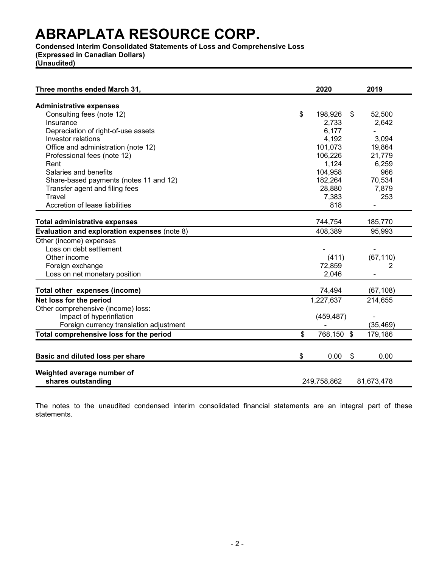**Condensed Interim Consolidated Statements of Loss and Comprehensive Loss** 

**(Expressed in Canadian Dollars)**

**(Unaudited)**

| Three months ended March 31,                 | 2020             | 2019                     |
|----------------------------------------------|------------------|--------------------------|
| <b>Administrative expenses</b>               |                  |                          |
| Consulting fees (note 12)                    | \$<br>198,926    | \$<br>52,500             |
| Insurance                                    | 2,733            | 2,642                    |
| Depreciation of right-of-use assets          | 6,177            | $\overline{\phantom{a}}$ |
| Investor relations                           | 4,192            | 3,094                    |
| Office and administration (note 12)          | 101,073          | 19,864                   |
| Professional fees (note 12)                  | 106,226          | 21,779                   |
| Rent                                         | 1,124            | 6,259                    |
| Salaries and benefits                        | 104,958          | 966                      |
| Share-based payments (notes 11 and 12)       | 182,264          | 70,534                   |
| Transfer agent and filing fees               | 28,880           | 7,879                    |
| Travel                                       | 7,383            | 253                      |
| Accretion of lease liabilities               | 818              |                          |
|                                              | 744,754          | 185,770                  |
| <b>Total administrative expenses</b>         |                  |                          |
| Evaluation and exploration expenses (note 8) | 408,389          | 95,993                   |
| Other (income) expenses                      |                  |                          |
| Loss on debt settlement                      |                  |                          |
| Other income                                 | (411)            | (67, 110)                |
| Foreign exchange                             | 72,859           | 2                        |
| Loss on net monetary position                | 2,046            |                          |
| Total other expenses (income)                | 74,494           | (67, 108)                |
| Net loss for the period                      | 1,227,637        | 214,655                  |
| Other comprehensive (income) loss:           |                  |                          |
| Impact of hyperinflation                     | (459, 487)       |                          |
| Foreign currency translation adjustment      |                  | (35, 469)                |
| Total comprehensive loss for the period      | \$<br>768,150 \$ | 179,186                  |
|                                              |                  |                          |
| Basic and diluted loss per share             | \$<br>0.00       | \$<br>0.00               |
| Weighted average number of                   |                  |                          |
| shares outstanding                           | 249,758,862      | 81,673,478               |
|                                              |                  |                          |

The notes to the unaudited condensed interim consolidated financial statements are an integral part of these statements.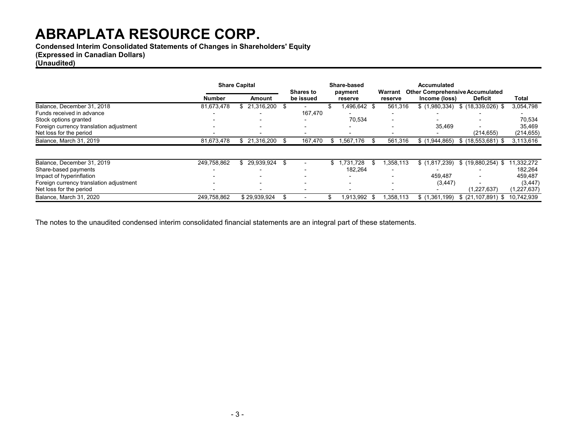**Condensed Interim Consolidated Statements of Changes in Shareholders' Equity**

### **(Expressed in Canadian Dollars)**

### **(Unaudited)**

|                                         |               | <b>Share Capital</b> |                  |  |           |     |              | Share-based<br><b>Shares to</b><br>payment |               |                      | Warrant       | <b>Accumulated</b> | <b>Other Comprehensive Accumulated</b> |  |
|-----------------------------------------|---------------|----------------------|------------------|--|-----------|-----|--------------|--------------------------------------------|---------------|----------------------|---------------|--------------------|----------------------------------------|--|
|                                         | <b>Number</b> |                      | <b>Amount</b>    |  | be issued |     | reserve      | reserve                                    | Income (loss) | <b>Deficit</b>       | Total         |                    |                                        |  |
| Balance, December 31, 2018              | 81,673,478    |                      | 21,316,200       |  |           |     | 1,496,642 \$ | 561,316                                    | \$(1,980,334) | $$$ (18,339,026) \$  | 3,054,798     |                    |                                        |  |
| Funds received in advance               |               |                      |                  |  | 167,470   |     |              |                                            |               |                      |               |                    |                                        |  |
| Stock options granted                   |               |                      |                  |  |           |     | 70,534       |                                            |               |                      | 70,534        |                    |                                        |  |
| Foreign currency translation adjustment |               |                      |                  |  |           |     |              |                                            | 35,469        |                      | 35,469        |                    |                                        |  |
| Net loss for the period                 |               |                      |                  |  |           |     |              |                                            |               | (214, 655)           | (214, 655)    |                    |                                        |  |
| Balance, March 31, 2019                 | 81,673,478    |                      | \$ 21,316,200    |  | 167.470   | ж.  | .567.176     | 561.316                                    | \$(1.944.865) | $$$ (18,553,681) \$  | 3,113,616     |                    |                                        |  |
|                                         |               |                      |                  |  |           |     |              |                                            |               |                      |               |                    |                                        |  |
| Balance, December 31, 2019              | 249.758.862   |                      | $$29.939.924$ \$ |  |           | \$1 | .731.728     | 358,113                                    | \$(1,817,239) | $$(19,880,254)$ \$   | 1,332,272     |                    |                                        |  |
| Share-based payments                    |               |                      |                  |  |           |     | 182,264      |                                            |               |                      | 182,264       |                    |                                        |  |
| Impact of hyperinflation                |               |                      |                  |  |           |     |              |                                            | 459,487       |                      | 459,487       |                    |                                        |  |
| Foreign currency translation adjustment |               |                      |                  |  |           |     |              |                                            | (3, 447)      |                      | (3, 447)      |                    |                                        |  |
| Net loss for the period                 |               |                      |                  |  |           |     |              |                                            |               | (1,227,637)          | (1, 227, 637) |                    |                                        |  |
| Balance, March 31, 2020                 | 249,758,862   |                      | \$29,939,924     |  |           |     | 1,913,992    | 358,113                                    | \$(1,361,199) | $$$ (21,107,891) $$$ | 10.742.939    |                    |                                        |  |

The notes to the unaudited condensed interim consolidated financial statements are an integral part of these statements.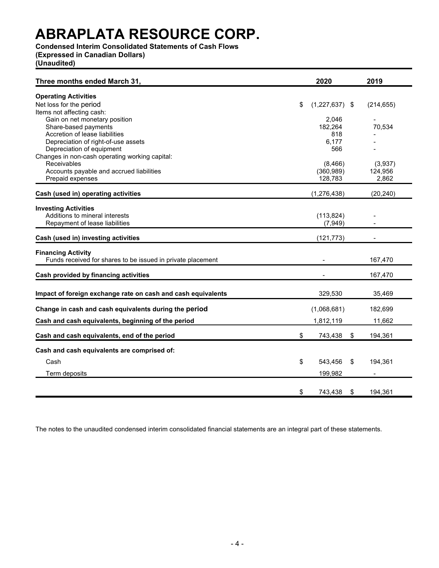### **Condensed Interim Consolidated Statements of Cash Flows**

**(Expressed in Canadian Dollars)**

**(Unaudited)**

| Three months ended March 31,                                 | 2020                   |            | 2019       |
|--------------------------------------------------------------|------------------------|------------|------------|
| <b>Operating Activities</b>                                  |                        |            |            |
| Net loss for the period                                      | \$<br>$(1,227,637)$ \$ |            | (214, 655) |
| Items not affecting cash:                                    |                        |            |            |
| Gain on net monetary position                                | 2,046                  |            |            |
| Share-based payments<br>Accretion of lease liabilities       | 182,264<br>818         |            | 70,534     |
| Depreciation of right-of-use assets                          | 6,177                  |            |            |
| Depreciation of equipment                                    | 566                    |            |            |
| Changes in non-cash operating working capital:               |                        |            |            |
| Receivables                                                  | (8, 466)               |            | (3,937)    |
| Accounts payable and accrued liabilities                     | (360, 989)             |            | 124,956    |
| Prepaid expenses                                             | 128,783                |            | 2,862      |
| Cash (used in) operating activities                          | (1, 276, 438)          |            | (20, 240)  |
| <b>Investing Activities</b>                                  |                        |            |            |
| Additions to mineral interests                               | (113, 824)             |            |            |
| Repayment of lease liabilities                               | (7, 949)               |            |            |
| Cash (used in) investing activities                          | (121, 773)             |            |            |
| <b>Financing Activity</b>                                    |                        |            |            |
| Funds received for shares to be issued in private placement  |                        |            | 167,470    |
| Cash provided by financing activities                        |                        |            | 167,470    |
| Impact of foreign exchange rate on cash and cash equivalents | 329,530                |            | 35,469     |
| Change in cash and cash equivalents during the period        | (1,068,681)            |            | 182,699    |
| Cash and cash equivalents, beginning of the period           | 1,812,119              |            | 11,662     |
| Cash and cash equivalents, end of the period                 | \$<br>743,438          | \$         | 194,361    |
| Cash and cash equivalents are comprised of:                  |                        |            |            |
| Cash                                                         | \$<br>543,456          | \$         | 194,361    |
|                                                              |                        |            |            |
| Term deposits                                                | 199,982                |            |            |
|                                                              | \$<br>743,438          | $\sqrt{3}$ | 194,361    |

The notes to the unaudited condensed interim consolidated financial statements are an integral part of these statements.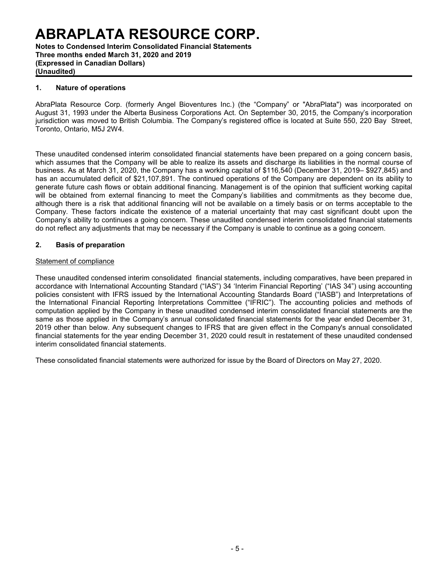**Notes to Condensed Interim Consolidated Financial Statements Three months ended March 31, 2020 and 2019 (Expressed in Canadian Dollars) (Unaudited)**

#### **1. Nature of operations**

AbraPlata Resource Corp. (formerly Angel Bioventures Inc.) (the "Company" or "AbraPlata") was incorporated on August 31, 1993 under the Alberta Business Corporations Act. On September 30, 2015, the Company's incorporation jurisdiction was moved to British Columbia. The Company's registered office is located at Suite 550, 220 Bay Street, Toronto, Ontario, M5J 2W4.

These unaudited condensed interim consolidated financial statements have been prepared on a going concern basis, which assumes that the Company will be able to realize its assets and discharge its liabilities in the normal course of business. As at March 31, 2020, the Company has a working capital of \$116,540 (December 31, 2019– \$927,845) and has an accumulated deficit of \$21,107,891. The continued operations of the Company are dependent on its ability to generate future cash flows or obtain additional financing. Management is of the opinion that sufficient working capital will be obtained from external financing to meet the Company's liabilities and commitments as they become due, although there is a risk that additional financing will not be available on a timely basis or on terms acceptable to the Company. These factors indicate the existence of a material uncertainty that may cast significant doubt upon the Company's ability to continues a going concern. These unaudited condensed interim consolidated financial statements do not reflect any adjustments that may be necessary if the Company is unable to continue as a going concern.

#### **2. Basis of preparation**

#### Statement of compliance

These unaudited condensed interim consolidated financial statements, including comparatives, have been prepared in accordance with International Accounting Standard ("IAS") 34 'Interim Financial Reporting' ("IAS 34") using accounting policies consistent with IFRS issued by the International Accounting Standards Board ("IASB") and Interpretations of the International Financial Reporting Interpretations Committee ("IFRIC"). The accounting policies and methods of computation applied by the Company in these unaudited condensed interim consolidated financial statements are the same as those applied in the Company's annual consolidated financial statements for the year ended December 31, 2019 other than below. Any subsequent changes to IFRS that are given effect in the Company's annual consolidated financial statements for the year ending December 31, 2020 could result in restatement of these unaudited condensed interim consolidated financial statements.

These consolidated financial statements were authorized for issue by the Board of Directors on May 27, 2020.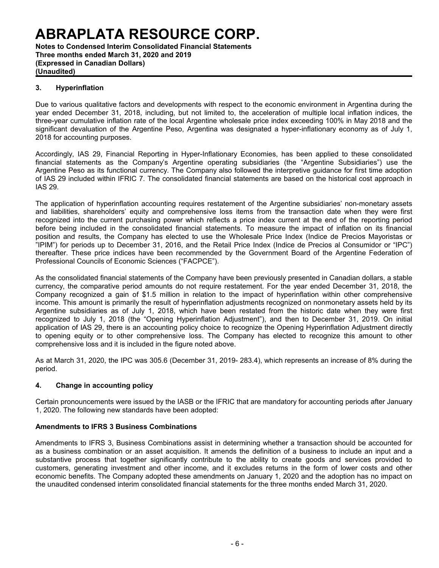**Notes to Condensed Interim Consolidated Financial Statements Three months ended March 31, 2020 and 2019 (Expressed in Canadian Dollars) (Unaudited)**

### **3. Hyperinflation**

Due to various qualitative factors and developments with respect to the economic environment in Argentina during the year ended December 31, 2018, including, but not limited to, the acceleration of multiple local inflation indices, the three-year cumulative inflation rate of the local Argentine wholesale price index exceeding 100% in May 2018 and the significant devaluation of the Argentine Peso, Argentina was designated a hyper-inflationary economy as of July 1, 2018 for accounting purposes.

Accordingly, IAS 29, Financial Reporting in Hyper-Inflationary Economies, has been applied to these consolidated financial statements as the Company's Argentine operating subsidiaries (the "Argentine Subsidiaries") use the Argentine Peso as its functional currency. The Company also followed the interpretive guidance for first time adoption of IAS 29 included within IFRIC 7. The consolidated financial statements are based on the historical cost approach in IAS 29.

The application of hyperinflation accounting requires restatement of the Argentine subsidiaries' non-monetary assets and liabilities, shareholders' equity and comprehensive loss items from the transaction date when they were first recognized into the current purchasing power which reflects a price index current at the end of the reporting period before being included in the consolidated financial statements. To measure the impact of inflation on its financial position and results, the Company has elected to use the Wholesale Price Index (Indice de Precios Mayoristas or "IPIM") for periods up to December 31, 2016, and the Retail Price Index (Indice de Precios al Consumidor or "IPC") thereafter. These price indices have been recommended by the Government Board of the Argentine Federation of Professional Councils of Economic Sciences ("FACPCE").

As the consolidated financial statements of the Company have been previously presented in Canadian dollars, a stable currency, the comparative period amounts do not require restatement. For the year ended December 31, 2018, the Company recognized a gain of \$1.5 million in relation to the impact of hyperinflation within other comprehensive income. This amount is primarily the result of hyperinflation adjustments recognized on nonmonetary assets held by its Argentine subsidiaries as of July 1, 2018, which have been restated from the historic date when they were first recognized to July 1, 2018 (the "Opening Hyperinflation Adjustment"), and then to December 31, 2019. On initial application of IAS 29, there is an accounting policy choice to recognize the Opening Hyperinflation Adjustment directly to opening equity or to other comprehensive loss. The Company has elected to recognize this amount to other comprehensive loss and it is included in the figure noted above.

As at March 31, 2020, the IPC was 305.6 (December 31, 2019- 283.4), which represents an increase of 8% during the period.

### **4. Change in accounting policy**

Certain pronouncements were issued by the IASB or the IFRIC that are mandatory for accounting periods after January 1, 2020. The following new standards have been adopted:

#### **Amendments to IFRS 3 Business Combinations**

Amendments to IFRS 3, Business Combinations assist in determining whether a transaction should be accounted for as a business combination or an asset acquisition. It amends the definition of a business to include an input and a substantive process that together significantly contribute to the ability to create goods and services provided to customers, generating investment and other income, and it excludes returns in the form of lower costs and other economic benefits. The Company adopted these amendments on January 1, 2020 and the adoption has no impact on the unaudited condensed interim consolidated financial statements for the three months ended March 31, 2020.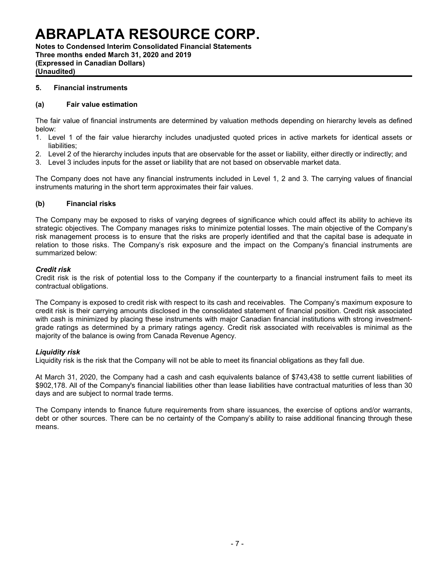**Notes to Condensed Interim Consolidated Financial Statements Three months ended March 31, 2020 and 2019 (Expressed in Canadian Dollars) (Unaudited)**

#### **5. Financial instruments**

#### **(a) Fair value estimation**

The fair value of financial instruments are determined by valuation methods depending on hierarchy levels as defined below:

- 1. Level 1 of the fair value hierarchy includes unadjusted quoted prices in active markets for identical assets or liabilities;
- 2. Level 2 of the hierarchy includes inputs that are observable for the asset or liability, either directly or indirectly; and
- 3. Level 3 includes inputs for the asset or liability that are not based on observable market data.

The Company does not have any financial instruments included in Level 1, 2 and 3. The carrying values of financial instruments maturing in the short term approximates their fair values.

#### **(b) Financial risks**

The Company may be exposed to risks of varying degrees of significance which could affect its ability to achieve its strategic objectives. The Company manages risks to minimize potential losses. The main objective of the Company's risk management process is to ensure that the risks are properly identified and that the capital base is adequate in relation to those risks. The Company's risk exposure and the impact on the Company's financial instruments are summarized below:

#### *Credit risk*

Credit risk is the risk of potential loss to the Company if the counterparty to a financial instrument fails to meet its contractual obligations.

The Company is exposed to credit risk with respect to its cash and receivables. The Company's maximum exposure to credit risk is their carrying amounts disclosed in the consolidated statement of financial position. Credit risk associated with cash is minimized by placing these instruments with major Canadian financial institutions with strong investmentgrade ratings as determined by a primary ratings agency. Credit risk associated with receivables is minimal as the majority of the balance is owing from Canada Revenue Agency.

#### *Liquidity risk*

Liquidity risk is the risk that the Company will not be able to meet its financial obligations as they fall due.

At March 31, 2020, the Company had a cash and cash equivalents balance of \$743,438 to settle current liabilities of \$902,178. All of the Company's financial liabilities other than lease liabilities have contractual maturities of less than 30 days and are subject to normal trade terms.

The Company intends to finance future requirements from share issuances, the exercise of options and/or warrants, debt or other sources. There can be no certainty of the Company's ability to raise additional financing through these means.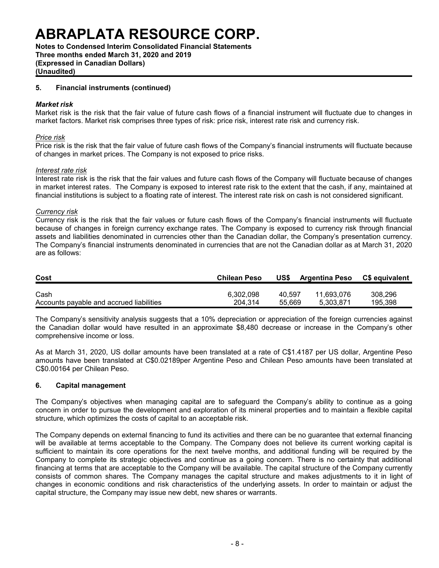**Notes to Condensed Interim Consolidated Financial Statements Three months ended March 31, 2020 and 2019 (Expressed in Canadian Dollars) (Unaudited)**

### **5. Financial instruments (continued)**

#### *Market risk*

Market risk is the risk that the fair value of future cash flows of a financial instrument will fluctuate due to changes in market factors. Market risk comprises three types of risk: price risk, interest rate risk and currency risk.

#### *Price risk*

Price risk is the risk that the fair value of future cash flows of the Company's financial instruments will fluctuate because of changes in market prices. The Company is not exposed to price risks.

#### *Interest rate risk*

Interest rate risk is the risk that the fair values and future cash flows of the Company will fluctuate because of changes in market interest rates. The Company is exposed to interest rate risk to the extent that the cash, if any, maintained at financial institutions is subject to a floating rate of interest. The interest rate risk on cash is not considered significant.

#### *Currency risk*

Currency risk is the risk that the fair values or future cash flows of the Company's financial instruments will fluctuate because of changes in foreign currency exchange rates. The Company is exposed to currency risk through financial assets and liabilities denominated in currencies other than the Canadian dollar, the Company's presentation currency. The Company's financial instruments denominated in currencies that are not the Canadian dollar as at March 31, 2020 are as follows:

| Cost                                     | <b>Chilean Peso</b> | US\$   | <b>Argentina Peso</b> | <b>CS equivalent</b> |
|------------------------------------------|---------------------|--------|-----------------------|----------------------|
| Cash                                     | 6.302.098           | 40.597 | 11.693.076            | 308.296              |
| Accounts payable and accrued liabilities | 204.314             | 55.669 | 5.303.871             | 195.398              |

The Company's sensitivity analysis suggests that a 10% depreciation or appreciation of the foreign currencies against the Canadian dollar would have resulted in an approximate \$8,480 decrease or increase in the Company's other comprehensive income or loss.

As at March 31, 2020, US dollar amounts have been translated at a rate of C\$1.4187 per US dollar, Argentine Peso amounts have been translated at C\$0.02189per Argentine Peso and Chilean Peso amounts have been translated at C\$0.00164 per Chilean Peso.

### **6. Capital management**

The Company's objectives when managing capital are to safeguard the Company's ability to continue as a going concern in order to pursue the development and exploration of its mineral properties and to maintain a flexible capital structure, which optimizes the costs of capital to an acceptable risk.

The Company depends on external financing to fund its activities and there can be no guarantee that external financing will be available at terms acceptable to the Company. The Company does not believe its current working capital is sufficient to maintain its core operations for the next twelve months, and additional funding will be required by the Company to complete its strategic objectives and continue as a going concern. There is no certainty that additional financing at terms that are acceptable to the Company will be available. The capital structure of the Company currently consists of common shares. The Company manages the capital structure and makes adjustments to it in light of changes in economic conditions and risk characteristics of the underlying assets. In order to maintain or adjust the capital structure, the Company may issue new debt, new shares or warrants.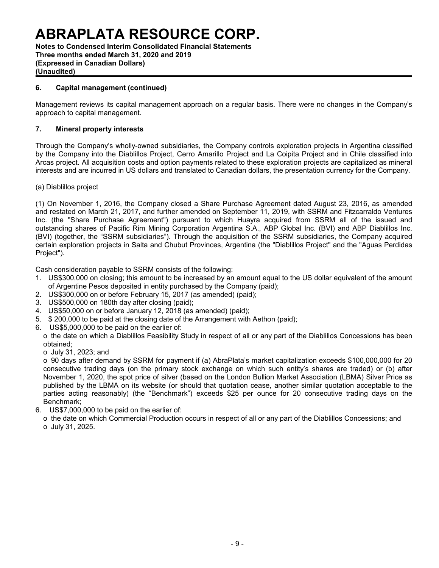**Notes to Condensed Interim Consolidated Financial Statements Three months ended March 31, 2020 and 2019 (Expressed in Canadian Dollars) (Unaudited)**

### **6. Capital management (continued)**

Management reviews its capital management approach on a regular basis. There were no changes in the Company's approach to capital management.

### **7. Mineral property interests**

Through the Company's wholly-owned subsidiaries, the Company controls exploration projects in Argentina classified by the Company into the Diablillos Project, Cerro Amarillo Project and La Coipita Project and in Chile classified into Arcas project. All acquisition costs and option payments related to these exploration projects are capitalized as mineral interests and are incurred in US dollars and translated to Canadian dollars, the presentation currency for the Company.

(a) Diablillos project

(1) On November 1, 2016, the Company closed a Share Purchase Agreement dated August 23, 2016, as amended and restated on March 21, 2017, and further amended on September 11, 2019, with SSRM and Fitzcarraldo Ventures Inc. (the "Share Purchase Agreement") pursuant to which Huayra acquired from SSRM all of the issued and outstanding shares of Pacific Rim Mining Corporation Argentina S.A., ABP Global Inc. (BVI) and ABP Diablillos Inc. (BVI) (together, the "SSRM subsidiaries"). Through the acquisition of the SSRM subsidiaries, the Company acquired certain exploration projects in Salta and Chubut Provinces, Argentina (the "Diablillos Project" and the "Aguas Perdidas Project").

Cash consideration payable to SSRM consists of the following:

- 1. US\$300,000 on closing; this amount to be increased by an amount equal to the US dollar equivalent of the amount of Argentine Pesos deposited in entity purchased by the Company (paid);
- 2. US\$300,000 on or before February 15, 2017 (as amended) (paid);
- 3. US\$500,000 on 180th day after closing (paid);
- 4. US\$50,000 on or before January 12, 2018 (as amended) (paid);
- 5. \$ 200,000 to be paid at the closing date of the Arrangement with Aethon (paid);
- 6. US\$5,000,000 to be paid on the earlier of:

o the date on which a Diablillos Feasibility Study in respect of all or any part of the Diablillos Concessions has been obtained;

o July 31, 2023; and

o 90 days after demand by SSRM for payment if (a) AbraPlata's market capitalization exceeds \$100,000,000 for 20 consecutive trading days (on the primary stock exchange on which such entity's shares are traded) or (b) after November 1, 2020, the spot price of silver (based on the London Bullion Market Association (LBMA) Silver Price as published by the LBMA on its website (or should that quotation cease, another similar quotation acceptable to the parties acting reasonably) (the "Benchmark") exceeds \$25 per ounce for 20 consecutive trading days on the Benchmark;

- 6. US\$7,000,000 to be paid on the earlier of:
	- o the date on which Commercial Production occurs in respect of all or any part of the Diablillos Concessions; and o July 31, 2025.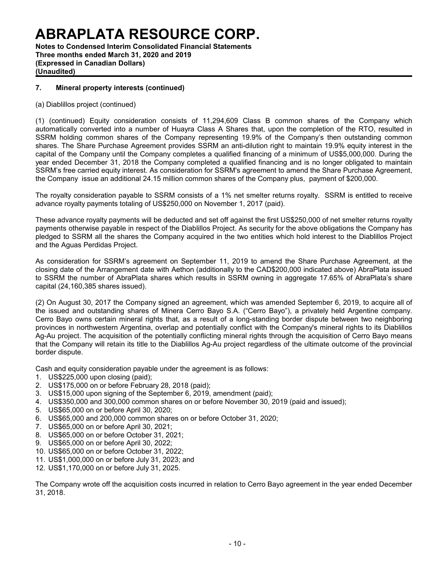**Notes to Condensed Interim Consolidated Financial Statements Three months ended March 31, 2020 and 2019 (Expressed in Canadian Dollars) (Unaudited)**

### **7. Mineral property interests (continued)**

(a) Diablillos project (continued)

(1) (continued) Equity consideration consists of 11,294,609 Class B common shares of the Company which automatically converted into a number of Huayra Class A Shares that, upon the completion of the RTO, resulted in SSRM holding common shares of the Company representing 19.9% of the Company's then outstanding common shares. The Share Purchase Agreement provides SSRM an anti-dilution right to maintain 19.9% equity interest in the capital of the Company until the Company completes a qualified financing of a minimum of US\$5,000,000. During the year ended December 31, 2018 the Company completed a qualified financing and is no longer obligated to maintain SSRM's free carried equity interest. As consideration for SSRM's agreement to amend the Share Purchase Agreement, the Company issue an additional 24.15 million common shares of the Company plus, payment of \$200,000.

The royalty consideration payable to SSRM consists of a 1% net smelter returns royalty. SSRM is entitled to receive advance royalty payments totaling of US\$250,000 on November 1, 2017 (paid).

These advance royalty payments will be deducted and set off against the first US\$250,000 of net smelter returns royalty payments otherwise payable in respect of the Diablillos Project. As security for the above obligations the Company has pledged to SSRM all the shares the Company acquired in the two entities which hold interest to the Diablillos Project and the Aguas Perdidas Project.

As consideration for SSRM's agreement on September 11, 2019 to amend the Share Purchase Agreement, at the closing date of the Arrangement date with Aethon (additionally to the CAD\$200,000 indicated above) AbraPlata issued to SSRM the number of AbraPlata shares which results in SSRM owning in aggregate 17.65% of AbraPlata's share capital (24,160,385 shares issued).

(2) On August 30, 2017 the Company signed an agreement, which was amended September 6, 2019, to acquire all of the issued and outstanding shares of Minera Cerro Bayo S.A. ("Cerro Bayo"), a privately held Argentine company. Cerro Bayo owns certain mineral rights that, as a result of a long-standing border dispute between two neighboring provinces in northwestern Argentina, overlap and potentially conflict with the Company's mineral rights to its Diablillos Ag-Au project. The acquisition of the potentially conflicting mineral rights through the acquisition of Cerro Bayo means that the Company will retain its title to the Diablillos Ag-Au project regardless of the ultimate outcome of the provincial border dispute.

Cash and equity consideration payable under the agreement is as follows:

- 1. US\$225,000 upon closing (paid);
- 2. US\$175,000 on or before February 28, 2018 (paid);
- 3. US\$15,000 upon signing of the September 6, 2019, amendment (paid);
- 4. US\$350,000 and 300,000 common shares on or before November 30, 2019 (paid and issued);
- 5. US\$65,000 on or before April 30, 2020;
- 6. US\$65,000 and 200,000 common shares on or before October 31, 2020;
- 7. US\$65,000 on or before April 30, 2021;
- 8. US\$65,000 on or before October 31, 2021;
- 9. US\$65,000 on or before April 30, 2022;
- 10. US\$65,000 on or before October 31, 2022;
- 11. US\$1,000,000 on or before July 31, 2023; and
- 12. US\$1,170,000 on or before July 31, 2025.

The Company wrote off the acquisition costs incurred in relation to Cerro Bayo agreement in the year ended December 31, 2018.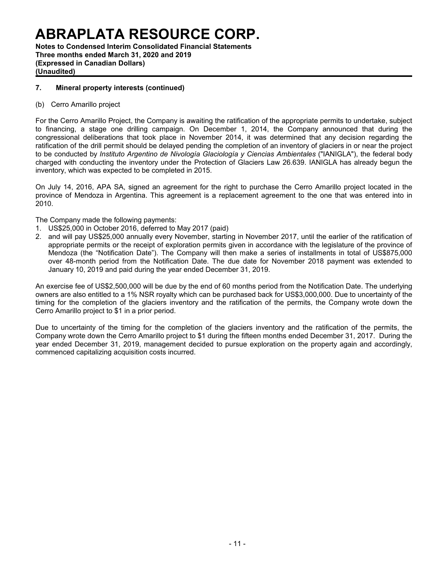**Notes to Condensed Interim Consolidated Financial Statements Three months ended March 31, 2020 and 2019 (Expressed in Canadian Dollars) (Unaudited)**

### **7. Mineral property interests (continued)**

#### (b) Cerro Amarillo project

For the Cerro Amarillo Project, the Company is awaiting the ratification of the appropriate permits to undertake, subject to financing, a stage one drilling campaign. On December 1, 2014, the Company announced that during the congressional deliberations that took place in November 2014, it was determined that any decision regarding the ratification of the drill permit should be delayed pending the completion of an inventory of glaciers in or near the project to be conducted by *Instituto Argentino de Nivología Glaciología y Ciencias Ambientales* ("IANIGLA"), the federal body charged with conducting the inventory under the Protection of Glaciers Law 26.639. IANIGLA has already begun the inventory, which was expected to be completed in 2015.

On July 14, 2016, APA SA, signed an agreement for the right to purchase the Cerro Amarillo project located in the province of Mendoza in Argentina. This agreement is a replacement agreement to the one that was entered into in 2010.

The Company made the following payments:

- 1. US\$25,000 in October 2016, deferred to May 2017 (paid)
- 2. and will pay US\$25,000 annually every November, starting in November 2017, until the earlier of the ratification of appropriate permits or the receipt of exploration permits given in accordance with the legislature of the province of Mendoza (the "Notification Date"). The Company will then make a series of installments in total of US\$875,000 over 48-month period from the Notification Date. The due date for November 2018 payment was extended to January 10, 2019 and paid during the year ended December 31, 2019.

An exercise fee of US\$2,500,000 will be due by the end of 60 months period from the Notification Date. The underlying owners are also entitled to a 1% NSR royalty which can be purchased back for US\$3,000,000. Due to uncertainty of the timing for the completion of the glaciers inventory and the ratification of the permits, the Company wrote down the Cerro Amarillo project to \$1 in a prior period.

Due to uncertainty of the timing for the completion of the glaciers inventory and the ratification of the permits, the Company wrote down the Cerro Amarillo project to \$1 during the fifteen months ended December 31, 2017. During the year ended December 31, 2019, management decided to pursue exploration on the property again and accordingly, commenced capitalizing acquisition costs incurred.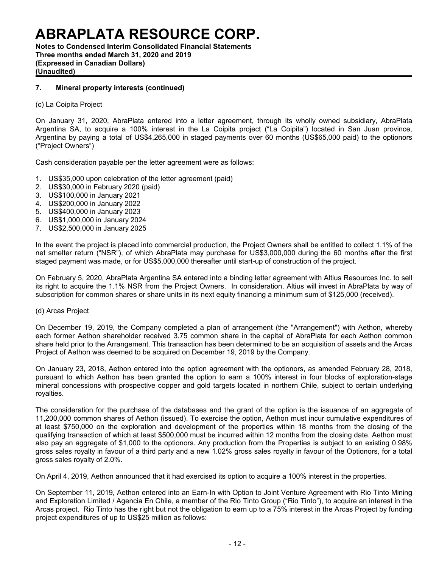**Notes to Condensed Interim Consolidated Financial Statements Three months ended March 31, 2020 and 2019 (Expressed in Canadian Dollars) (Unaudited)**

### **7. Mineral property interests (continued)**

(c) La Coipita Project

On January 31, 2020, AbraPlata entered into a letter agreement, through its wholly owned subsidiary, AbraPlata Argentina SA, to acquire a 100% interest in the La Coipita project ("La Coipita") located in San Juan province, Argentina by paying a total of US\$4,265,000 in staged payments over 60 months (US\$65,000 paid) to the optionors ("Project Owners")

Cash consideration payable per the letter agreement were as follows:

- 1. US\$35,000 upon celebration of the letter agreement (paid)
- 2. US\$30,000 in February 2020 (paid)
- 3. US\$100,000 in January 2021
- 4. US\$200,000 in January 2022
- 5. US\$400,000 in January 2023
- 6. US\$1,000,000 in January 2024
- 7. US\$2,500,000 in January 2025

In the event the project is placed into commercial production, the Project Owners shall be entitled to collect 1.1% of the net smelter return ("NSR"), of which AbraPlata may purchase for US\$3,000,000 during the 60 months after the first staged payment was made, or for US\$5,000,000 thereafter until start-up of construction of the project.

On February 5, 2020, AbraPlata Argentina SA entered into a binding letter agreement with Altius Resources Inc. to sell its right to acquire the 1.1% NSR from the Project Owners. In consideration, Altius will invest in AbraPlata by way of subscription for common shares or share units in its next equity financing a minimum sum of \$125,000 (received).

#### (d) Arcas Project

On December 19, 2019, the Company completed a plan of arrangement (the "Arrangement") with Aethon, whereby each former Aethon shareholder received 3.75 common share in the capital of AbraPlata for each Aethon common share held prior to the Arrangement. This transaction has been determined to be an acquisition of assets and the Arcas Project of Aethon was deemed to be acquired on December 19, 2019 by the Company.

On January 23, 2018, Aethon entered into the option agreement with the optionors, as amended February 28, 2018, pursuant to which Aethon has been granted the option to earn a 100% interest in four blocks of exploration-stage mineral concessions with prospective copper and gold targets located in northern Chile, subject to certain underlying royalties.

The consideration for the purchase of the databases and the grant of the option is the issuance of an aggregate of 11,200,000 common shares of Aethon (issued). To exercise the option, Aethon must incur cumulative expenditures of at least \$750,000 on the exploration and development of the properties within 18 months from the closing of the qualifying transaction of which at least \$500,000 must be incurred within 12 months from the closing date. Aethon must also pay an aggregate of \$1,000 to the optionors. Any production from the Properties is subject to an existing 0.98% gross sales royalty in favour of a third party and a new 1.02% gross sales royalty in favour of the Optionors, for a total gross sales royalty of 2.0%.

On April 4, 2019, Aethon announced that it had exercised its option to acquire a 100% interest in the properties.

On September 11, 2019, Aethon entered into an Earn-In with Option to Joint Venture Agreement with Rio Tinto Mining and Exploration Limited / Agencia En Chile, a member of the Rio Tinto Group ("Rio Tinto"), to acquire an interest in the Arcas project. Rio Tinto has the right but not the obligation to earn up to a 75% interest in the Arcas Project by funding project expenditures of up to US\$25 million as follows: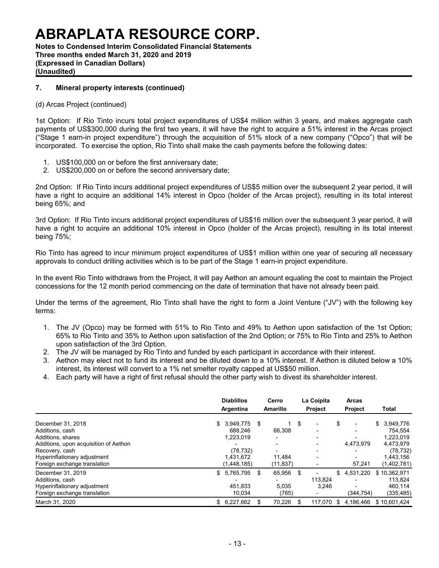**Notes to Condensed Interim Consolidated Financial Statements Three months ended March 31, 2020 and 2019 (Expressed in Canadian Dollars) (Unaudited)**

### **7. Mineral property interests (continued)**

#### (d) Arcas Project (continued)

1st Option: If Rio Tinto incurs total project expenditures of US\$4 million within 3 years, and makes aggregate cash payments of US\$300,000 during the first two years, it will have the right to acquire a 51% interest in the Arcas project ("Stage 1 earn-in project expenditure") through the acquisition of 51% stock of a new company ("Opco") that will be incorporated. To exercise the option, Rio Tinto shall make the cash payments before the following dates:

- 1. US\$100,000 on or before the first anniversary date;
- 2. US\$200,000 on or before the second anniversary date;

2nd Option: If Rio Tinto incurs additional project expenditures of US\$5 million over the subsequent 2 year period, it will have a right to acquire an additional 14% interest in Opco (holder of the Arcas project), resulting in its total interest being 65%; and

3rd Option: If Rio Tinto incurs additional project expenditures of US\$16 million over the subsequent 3 year period, it will have a right to acquire an additional 10% interest in Opco (holder of the Arcas project), resulting in its total interest being 75%;

Rio Tinto has agreed to incur minimum project expenditures of US\$1 million within one year of securing all necessary approvals to conduct drilling activities which is to be part of the Stage 1 earn-in project expenditure.

In the event Rio Tinto withdraws from the Project, it will pay Aethon an amount equaling the cost to maintain the Project concessions for the 12 month period commencing on the date of termination that have not already been paid.

Under the terms of the agreement, Rio Tinto shall have the right to form a Joint Venture ("JV") with the following key terms:

- 1. The JV (Opco) may be formed with 51% to Rio Tinto and 49% to Aethon upon satisfaction of the 1st Option; 65% to Rio Tinto and 35% to Aethon upon satisfaction of the 2nd Option; or 75% to Rio Tinto and 25% to Aethon upon satisfaction of the 3rd Option.
- 2. The JV will be managed by Rio Tinto and funded by each participant in accordance with their interest.
- 3. Aethon may elect not to fund its interest and be diluted down to a 10% interest. If Aethon is diluted below a 10% interest, its interest will convert to a 1% net smelter royalty capped at US\$50 million.
- 4. Each party will have a right of first refusal should the other party wish to divest its shareholder interest.

|                                                                                                                                                                                      | <b>Diablillos</b><br>Argentina                                                |    | Cerro<br><b>Amarillo</b>      |    | La Coipita<br><b>Project</b> |     | <b>Arcas</b><br><b>Project</b>                                              | <b>Total</b>                                                                               |
|--------------------------------------------------------------------------------------------------------------------------------------------------------------------------------------|-------------------------------------------------------------------------------|----|-------------------------------|----|------------------------------|-----|-----------------------------------------------------------------------------|--------------------------------------------------------------------------------------------|
| December 31, 2018<br>Additions, cash<br>Additions, shares<br>Additions, upon acquisition of Aethon<br>Recovery, cash<br>Hyperinflationary adjustment<br>Foreign exchange translation | \$ 3.949.775<br>688.246<br>1,223,019<br>(78, 732)<br>1.431.672<br>(1,448,185) | \$ | 66,308<br>11.484<br>(11, 837) | \$ | $\overline{\phantom{0}}$     | \$  | $\overline{\phantom{a}}$<br>$\overline{\phantom{0}}$<br>4,473,979<br>57,241 | \$ 3,949,776<br>754.554<br>1,223,019<br>4,473,979<br>(78, 732)<br>1,443,156<br>(1,402,781) |
| December 31, 2019<br>Additions, cash<br>Hyperinflationary adjustment<br>Foreign exchange translation                                                                                 | \$<br>5,765,795<br>451.833<br>10.034                                          | \$ | 65,956<br>5,035<br>(765)      | \$ | 113.824<br>3.246             | \$  | 4,531,220<br>(344,754)                                                      | \$10,362,971<br>113.824<br>460.114<br>(335, 485)                                           |
| March 31, 2020                                                                                                                                                                       | \$<br>6.227.662                                                               | S  | 70.226                        | S  | 117.070                      | \$. | 4.186.466                                                                   | \$10.601.424                                                                               |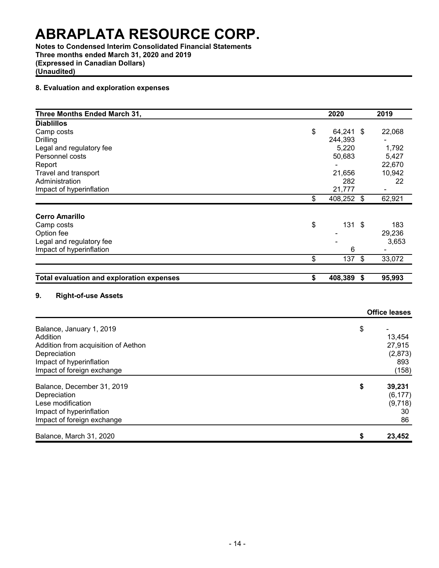**Notes to Condensed Interim Consolidated Financial Statements Three months ended March 31, 2020 and 2019 (Expressed in Canadian Dollars) (Unaudited)**

### **8. Evaluation and exploration expenses**

| Three Months Ended March 31,                     | 2020             | 2019                 |
|--------------------------------------------------|------------------|----------------------|
| <b>Diablillos</b>                                |                  |                      |
| Camp costs                                       | \$<br>64,241 \$  | 22,068               |
| <b>Drilling</b>                                  | 244,393          |                      |
| Legal and regulatory fee                         | 5,220            | 1,792                |
| Personnel costs                                  | 50,683           | 5,427                |
| Report                                           | $\mathbf{r}$     | 22,670               |
| Travel and transport                             | 21,656           | 10,942               |
| Administration                                   | 282              | 22                   |
| Impact of hyperinflation                         | 21,777           | $\blacksquare$       |
|                                                  | \$<br>408,252 \$ | 62,921               |
| <b>Cerro Amarillo</b>                            |                  |                      |
| Camp costs                                       | \$<br>131        | \$<br>183            |
| Option fee                                       |                  | 29,236               |
| Legal and regulatory fee                         |                  | 3,653                |
| Impact of hyperinflation                         | 6                |                      |
|                                                  | \$<br>137        | \$<br>33,072         |
|                                                  |                  |                      |
| <b>Total evaluation and exploration expenses</b> | \$<br>408,389 \$ | 95,993               |
|                                                  |                  |                      |
| 9.<br><b>Right-of-use Assets</b>                 |                  |                      |
|                                                  |                  | <b>Office leases</b> |
| Balance, January 1, 2019                         |                  | \$                   |
| Addition                                         |                  | 13,454               |
| Addition from acquisition of Aethon              |                  | 27,915               |
| Depreciation                                     |                  | (2,873)              |
| Impact of hyperinflation                         |                  | 893                  |
| Impact of foreign exchange                       |                  | (158)                |
|                                                  |                  |                      |
| Balance, December 31, 2019                       |                  | \$<br>39,231         |
| Depreciation                                     |                  | (6, 177)             |
| Lese modification                                |                  | (9,718)              |
| Impact of hyperinflation                         |                  | 30                   |
| Impact of foreign exchange                       |                  | 86                   |
|                                                  |                  |                      |
| Balance, March 31, 2020                          |                  | \$<br>23,452         |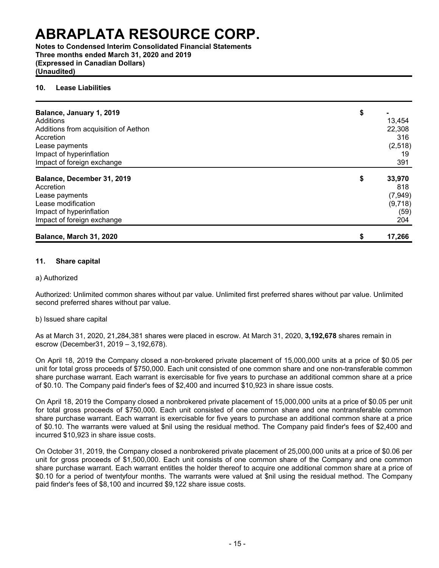**Notes to Condensed Interim Consolidated Financial Statements Three months ended March 31, 2020 and 2019 (Expressed in Canadian Dollars) (Unaudited)**

#### **10. Lease Liabilities**

| Balance, January 1, 2019<br>Additions<br>Additions from acquisition of Aethon<br>Accretion                                                | \$<br>13,454<br>22,308<br>316                             |
|-------------------------------------------------------------------------------------------------------------------------------------------|-----------------------------------------------------------|
| Lease payments                                                                                                                            | (2, 518)                                                  |
| Impact of hyperinflation<br>Impact of foreign exchange                                                                                    | 19<br>391                                                 |
| Balance, December 31, 2019<br>Accretion<br>Lease payments<br>Lease modification<br>Impact of hyperinflation<br>Impact of foreign exchange | \$<br>33,970<br>818<br>(7, 949)<br>(9,718)<br>(59)<br>204 |
| Balance, March 31, 2020                                                                                                                   | \$<br>17,266                                              |

#### **11. Share capital**

#### a) Authorized

Authorized: Unlimited common shares without par value. Unlimited first preferred shares without par value. Unlimited second preferred shares without par value.

#### b) Issued share capital

As at March 31, 2020, 21,284,381 shares were placed in escrow. At March 31, 2020, **3,192,678** shares remain in escrow (December31, 2019 – 3,192,678).

On April 18, 2019 the Company closed a non-brokered private placement of 15,000,000 units at a price of \$0.05 per unit for total gross proceeds of \$750,000. Each unit consisted of one common share and one non-transferable common share purchase warrant. Each warrant is exercisable for five years to purchase an additional common share at a price of \$0.10. The Company paid finder's fees of \$2,400 and incurred \$10,923 in share issue costs.

On April 18, 2019 the Company closed a nonbrokered private placement of 15,000,000 units at a price of \$0.05 per unit for total gross proceeds of \$750,000. Each unit consisted of one common share and one nontransferable common share purchase warrant. Each warrant is exercisable for five years to purchase an additional common share at a price of \$0.10. The warrants were valued at \$nil using the residual method. The Company paid finder's fees of \$2,400 and incurred \$10,923 in share issue costs.

On October 31, 2019, the Company closed a nonbrokered private placement of 25,000,000 units at a price of \$0.06 per unit for gross proceeds of \$1,500,000. Each unit consists of one common share of the Company and one common share purchase warrant. Each warrant entitles the holder thereof to acquire one additional common share at a price of \$0.10 for a period of twentyfour months. The warrants were valued at \$nil using the residual method. The Company paid finder's fees of \$8,100 and incurred \$9,122 share issue costs.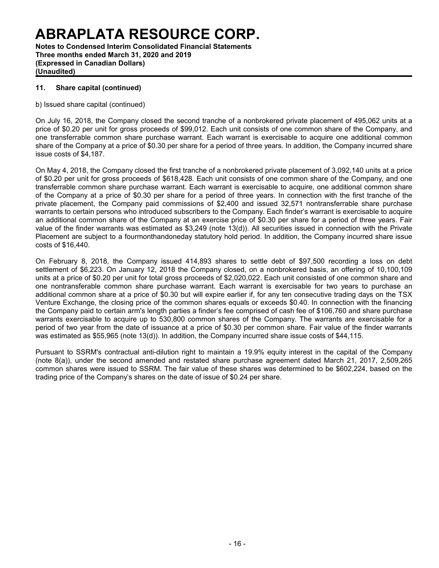**Notes to Condensed Interim Consolidated Financial Statements Three months ended March 31, 2020 and 2019 (Expressed in Canadian Dollars) (Unaudited)**

### **11. Share capital (continued)**

b) Issued share capital (continued)

On July 16, 2018, the Company closed the second tranche of a nonbrokered private placement of 495,062 units at a price of \$0.20 per unit for gross proceeds of \$99,012. Each unit consists of one common share of the Company, and one transferrable common share purchase warrant. Each warrant is exercisable to acquire one additional common share of the Company at a price of \$0.30 per share for a period of three years. In addition, the Company incurred share issue costs of \$4,187.

On May 4, 2018, the Company closed the first tranche of a nonbrokered private placement of 3,092,140 units at a price of \$0.20 per unit for gross proceeds of \$618,428. Each unit consists of one common share of the Company, and one transferrable common share purchase warrant. Each warrant is exercisable to acquire, one additional common share of the Company at a price of \$0.30 per share for a period of three years. In connection with the first tranche of the private placement, the Company paid commissions of \$2,400 and issued 32,571 nontransferrable share purchase warrants to certain persons who introduced subscribers to the Company. Each finder's warrant is exercisable to acquire an additional common share of the Company at an exercise price of \$0.30 per share for a period of three years. Fair value of the finder warrants was estimated as \$3,249 (note 13(d)). All securities issued in connection with the Private Placement are subject to a fourmonthandoneday statutory hold period. In addition, the Company incurred share issue costs of \$16,440.

On February 8, 2018, the Company issued 414,893 shares to settle debt of \$97,500 recording a loss on debt settlement of \$6,223. On January 12, 2018 the Company closed, on a nonbrokered basis, an offering of 10,100,109 units at a price of \$0.20 per unit for total gross proceeds of \$2,020,022. Each unit consisted of one common share and one nontransferable common share purchase warrant. Each warrant is exercisable for two years to purchase an additional common share at a price of \$0.30 but will expire earlier if, for any ten consecutive trading days on the TSX Venture Exchange, the closing price of the common shares equals or exceeds \$0.40. In connection with the financing the Company paid to certain arm's length parties a finder's fee comprised of cash fee of \$106,760 and share purchase warrants exercisable to acquire up to 530,800 common shares of the Company. The warrants are exercisable for a period of two year from the date of issuance at a price of \$0.30 per common share. Fair value of the finder warrants was estimated as \$55,965 (note 13(d)). In addition, the Company incurred share issue costs of \$44,115.

Pursuant to SSRM's contractual anti-dilution right to maintain a 19.9% equity interest in the capital of the Company (note 8(a)), under the second amended and restated share purchase agreement dated March 21, 2017, 2,509,265 common shares were issued to SSRM. The fair value of these shares was determined to be \$602,224, based on the trading price of the Company's shares on the date of issue of \$0.24 per share.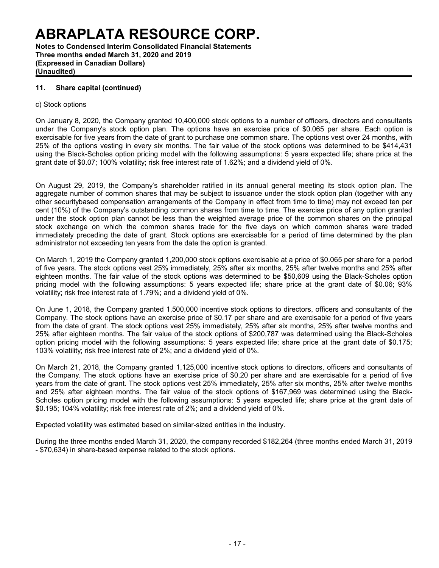**Notes to Condensed Interim Consolidated Financial Statements Three months ended March 31, 2020 and 2019 (Expressed in Canadian Dollars) (Unaudited)**

#### **11. Share capital (continued)**

#### c) Stock options

On January 8, 2020, the Company granted 10,400,000 stock options to a number of officers, directors and consultants under the Company's stock option plan. The options have an exercise price of \$0.065 per share. Each option is exercisable for five years from the date of grant to purchase one common share. The options vest over 24 months, with 25% of the options vesting in every six months. The fair value of the stock options was determined to be \$414,431 using the Black-Scholes option pricing model with the following assumptions: 5 years expected life; share price at the grant date of \$0.07; 100% volatility; risk free interest rate of 1.62%; and a dividend yield of 0%.

On August 29, 2019, the Company's shareholder ratified in its annual general meeting its stock option plan. The aggregate number of common shares that may be subject to issuance under the stock option plan (together with any other securitybased compensation arrangements of the Company in effect from time to time) may not exceed ten per cent (10%) of the Company's outstanding common shares from time to time. The exercise price of any option granted under the stock option plan cannot be less than the weighted average price of the common shares on the principal stock exchange on which the common shares trade for the five days on which common shares were traded immediately preceding the date of grant. Stock options are exercisable for a period of time determined by the plan administrator not exceeding ten years from the date the option is granted.

On March 1, 2019 the Company granted 1,200,000 stock options exercisable at a price of \$0.065 per share for a period of five years. The stock options vest 25% immediately, 25% after six months, 25% after twelve months and 25% after eighteen months. The fair value of the stock options was determined to be \$50,609 using the Black-Scholes option pricing model with the following assumptions: 5 years expected life; share price at the grant date of \$0.06; 93% volatility; risk free interest rate of 1.79%; and a dividend yield of 0%.

On June 1, 2018, the Company granted 1,500,000 incentive stock options to directors, officers and consultants of the Company. The stock options have an exercise price of \$0.17 per share and are exercisable for a period of five years from the date of grant. The stock options vest 25% immediately, 25% after six months, 25% after twelve months and 25% after eighteen months. The fair value of the stock options of \$200,787 was determined using the Black-Scholes option pricing model with the following assumptions: 5 years expected life; share price at the grant date of \$0.175; 103% volatility; risk free interest rate of 2%; and a dividend yield of 0%.

On March 21, 2018, the Company granted 1,125,000 incentive stock options to directors, officers and consultants of the Company. The stock options have an exercise price of \$0.20 per share and are exercisable for a period of five years from the date of grant. The stock options vest 25% immediately, 25% after six months, 25% after twelve months and 25% after eighteen months. The fair value of the stock options of \$167,969 was determined using the Black-Scholes option pricing model with the following assumptions: 5 years expected life; share price at the grant date of \$0.195; 104% volatility; risk free interest rate of 2%; and a dividend yield of 0%.

Expected volatility was estimated based on similar-sized entities in the industry.

During the three months ended March 31, 2020, the company recorded \$182,264 (three months ended March 31, 2019 - \$70,634) in share-based expense related to the stock options.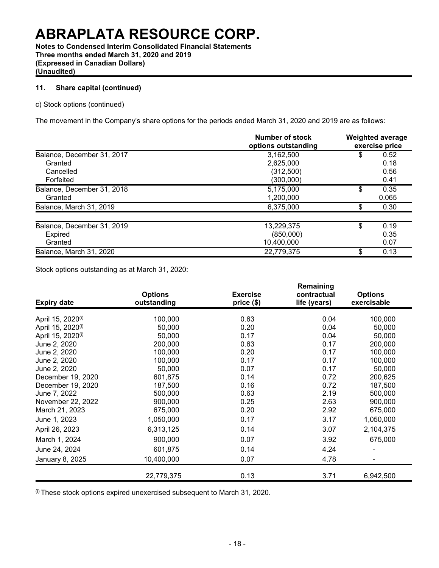**Notes to Condensed Interim Consolidated Financial Statements Three months ended March 31, 2020 and 2019 (Expressed in Canadian Dollars) (Unaudited)**

### **11. Share capital (continued)**

c) Stock options (continued)

The movement in the Company's share options for the periods ended March 31, 2020 and 2019 are as follows:

|                            | Number of stock<br>options outstanding | <b>Weighted average</b><br>exercise price |       |  |  |  |
|----------------------------|----------------------------------------|-------------------------------------------|-------|--|--|--|
| Balance, December 31, 2017 | 3,162,500                              | \$                                        | 0.52  |  |  |  |
| Granted                    | 2,625,000                              |                                           | 0.18  |  |  |  |
| Cancelled                  | (312,500)                              |                                           | 0.56  |  |  |  |
| Forfeited                  | (300,000)                              |                                           | 0.41  |  |  |  |
| Balance, December 31, 2018 | 5,175,000                              | \$                                        | 0.35  |  |  |  |
| Granted                    | 1,200,000                              |                                           | 0.065 |  |  |  |
| Balance, March 31, 2019    | 6,375,000                              | \$                                        | 0.30  |  |  |  |
|                            |                                        |                                           |       |  |  |  |
| Balance, December 31, 2019 | 13,229,375                             | \$                                        | 0.19  |  |  |  |
| <b>Expired</b>             | (850,000)                              |                                           | 0.35  |  |  |  |
| Granted                    | 10,400,000                             |                                           | 0.07  |  |  |  |
| Balance, March 31, 2020    | 22,779,375                             | \$                                        | 0.13  |  |  |  |

Stock options outstanding as at March 31, 2020:

| <b>Expiry date</b>            | <b>Options</b><br>outstanding | <b>Exercise</b><br>price(\$) | Remaining<br>contractual<br>life (years) | <b>Options</b><br>exercisable |
|-------------------------------|-------------------------------|------------------------------|------------------------------------------|-------------------------------|
| April 15, 2020 <sup>(i)</sup> | 100,000                       | 0.63                         | 0.04                                     | 100,000                       |
| April 15, 2020 <sup>(i)</sup> | 50,000                        | 0.20                         | 0.04                                     | 50,000                        |
| April 15, 2020 <sup>(i)</sup> | 50,000                        | 0.17                         | 0.04                                     | 50,000                        |
| June 2, 2020                  | 200,000                       | 0.63                         | 0.17                                     | 200,000                       |
| June 2, 2020                  | 100,000                       | 0.20                         | 0.17                                     | 100,000                       |
| June 2, 2020                  | 100,000                       | 0.17                         | 0.17                                     | 100,000                       |
| June 2, 2020                  | 50,000                        | 0.07                         | 0.17                                     | 50,000                        |
| December 19, 2020             | 601,875                       | 0.14                         | 0.72                                     | 200,625                       |
| December 19, 2020             | 187,500                       | 0.16                         | 0.72                                     | 187,500                       |
| June 7, 2022                  | 500,000                       | 0.63                         | 2.19                                     | 500,000                       |
| November 22, 2022             | 900,000                       | 0.25                         | 2.63                                     | 900,000                       |
| March 21, 2023                | 675,000                       | 0.20                         | 2.92                                     | 675,000                       |
| June 1, 2023                  | 1,050,000                     | 0.17                         | 3.17                                     | 1,050,000                     |
| April 26, 2023                | 6,313,125                     | 0.14                         | 3.07                                     | 2,104,375                     |
| March 1, 2024                 | 900,000                       | 0.07                         | 3.92                                     | 675,000                       |
| June 24, 2024                 | 601,875                       | 0.14                         | 4.24                                     |                               |
| January 8, 2025               | 10,400,000                    | 0.07                         | 4.78                                     |                               |
|                               | 22,779,375                    | 0.13                         | 3.71                                     | 6,942,500                     |

(i) These stock options expired unexercised subsequent to March 31, 2020.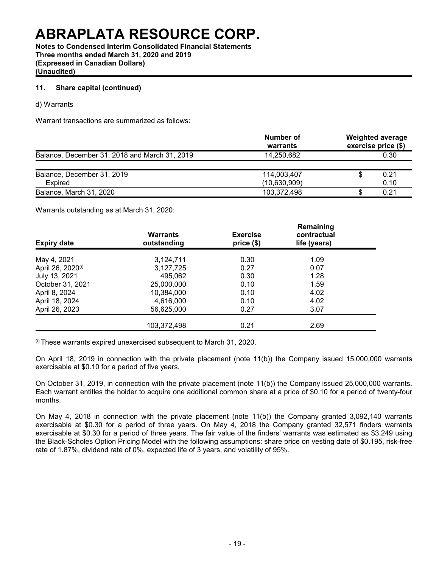**Notes to Condensed Interim Consolidated Financial Statements Three months ended March 31, 2020 and 2019 (Expressed in Canadian Dollars) (Unaudited)**

#### **11. Share capital (continued)**

d) Warrants

Warrant transactions are summarized as follows:

|                                               | Number of<br>warrants | <b>Weighted average</b><br>exercise price (\$) |      |  |  |
|-----------------------------------------------|-----------------------|------------------------------------------------|------|--|--|
| Balance, December 31, 2018 and March 31, 2019 | 14.250.682            |                                                | 0.30 |  |  |
|                                               |                       |                                                |      |  |  |
| Balance, December 31, 2019                    | 114.003.407           |                                                | 0.21 |  |  |
| Expired                                       | (10,630,909)          |                                                | 0.10 |  |  |
| Balance, March 31, 2020                       | 103,372,498           |                                                | 0.21 |  |  |

Warrants outstanding as at March 31, 2020:

| <b>Expiry date</b>            | <b>Warrants</b><br>outstanding | <b>Exercise</b><br>price(\$) | Remaining<br>contractual<br>life (years) |  |
|-------------------------------|--------------------------------|------------------------------|------------------------------------------|--|
| May 4, 2021                   | 3,124,711                      | 0.30                         | 1.09                                     |  |
| April 26, 2020 <sup>(i)</sup> | 3,127,725                      | 0.27                         | 0.07                                     |  |
| July 13, 2021                 | 495,062                        | 0.30                         | 1.28                                     |  |
| October 31, 2021              | 25,000,000                     | 0.10                         | 1.59                                     |  |
| April 8, 2024                 | 10,384,000                     | 0.10                         | 4.02                                     |  |
| April 18, 2024                | 4,616,000                      | 0.10                         | 4.02                                     |  |
| April 26, 2023                | 56,625,000                     | 0.27                         | 3.07                                     |  |
|                               | 103,372,498                    | 0.21                         | 2.69                                     |  |

 $\omega$ ) These warrants expired unexercised subsequent to March 31, 2020.

On April 18, 2019 in connection with the private placement (note 11(b)) the Company issued 15,000,000 warrants exercisable at \$0.10 for a period of five years.

On October 31, 2019, in connection with the private placement (note 11(b)) the Company issued 25,000,000 warrants. Each warrant entitles the holder to acquire one additional common share at a price of \$0.10 for a period of twenty-four months.

On May 4, 2018 in connection with the private placement (note 11(b)) the Company granted 3,092,140 warrants exercisable at \$0.30 for a period of three years. On May 4, 2018 the Company granted 32,571 finders warrants exercisable at \$0.30 for a period of three years. The fair value of the finders' warrants was estimated as \$3,249 using the Black-Scholes Option Pricing Model with the following assumptions: share price on vesting date of \$0.195, risk-free rate of 1.87%, dividend rate of 0%, expected life of 3 years, and volatility of 95%.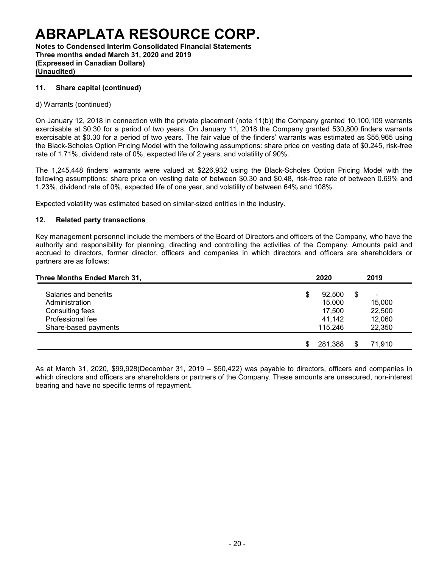**Notes to Condensed Interim Consolidated Financial Statements Three months ended March 31, 2020 and 2019 (Expressed in Canadian Dollars) (Unaudited)**

#### **11. Share capital (continued)**

#### d) Warrants (continued)

On January 12, 2018 in connection with the private placement (note 11(b)) the Company granted 10,100,109 warrants exercisable at \$0.30 for a period of two years. On January 11, 2018 the Company granted 530,800 finders warrants exercisable at \$0.30 for a period of two years. The fair value of the finders' warrants was estimated as \$55,965 using the Black-Scholes Option Pricing Model with the following assumptions: share price on vesting date of \$0.245, risk-free rate of 1.71%, dividend rate of 0%, expected life of 2 years, and volatility of 90%.

The 1,245,448 finders' warrants were valued at \$226,932 using the Black-Scholes Option Pricing Model with the following assumptions: share price on vesting date of between \$0.30 and \$0.48, risk-free rate of between 0.69% and 1.23%, dividend rate of 0%, expected life of one year, and volatility of between 64% and 108%.

Expected volatility was estimated based on similar-sized entities in the industry.

#### **12. Related party transactions**

Key management personnel include the members of the Board of Directors and officers of the Company, who have the authority and responsibility for planning, directing and controlling the activities of the Company. Amounts paid and accrued to directors, former director, officers and companies in which directors and officers are shareholders or partners are as follows:

| Three Months Ended March 31, | 2020         | 2019                |
|------------------------------|--------------|---------------------|
| Salaries and benefits        | \$<br>92.500 | S<br>$\blacksquare$ |
| Administration               | 15,000       | 15,000              |
| Consulting fees              | 17,500       | 22,500              |
| Professional fee             | 41,142       | 12,060              |
| Share-based payments         | 115,246      | 22,350              |
|                              | 281.388<br>S | 71.910              |

As at March 31, 2020, \$99,928(December 31, 2019 – \$50,422) was payable to directors, officers and companies in which directors and officers are shareholders or partners of the Company. These amounts are unsecured, non-interest bearing and have no specific terms of repayment.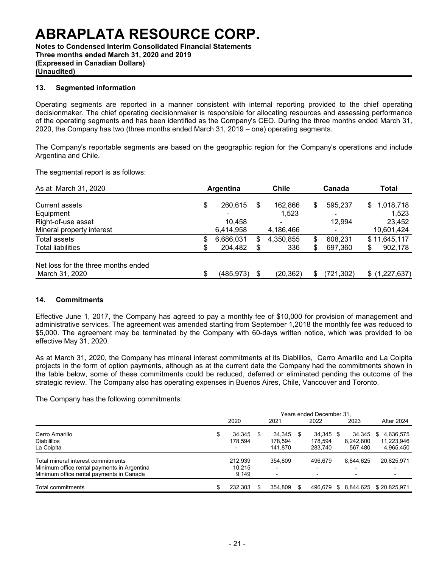**Notes to Condensed Interim Consolidated Financial Statements Three months ended March 31, 2020 and 2019 (Expressed in Canadian Dollars) (Unaudited)**

#### **13. Segmented information**

Operating segments are reported in a manner consistent with internal reporting provided to the chief operating decisionmaker. The chief operating decisionmaker is responsible for allocating resources and assessing performance of the operating segments and has been identified as the Company's CEO. During the three months ended March 31, 2020, the Company has two (three months ended March 31, 2019 – one) operating segments.

The Company's reportable segments are based on the geographic region for the Company's operations and include Argentina and Chile.

The segmental report is as follows:

| As at March 31, 2020                |    | Argentina |     | <b>Chile</b> |     | Canada                   |     | Total         |
|-------------------------------------|----|-----------|-----|--------------|-----|--------------------------|-----|---------------|
| Current assets                      | \$ | 260,615   | \$  | 162,866      | S   | 595,237                  | SS. | 1,018,718     |
| Equipment                           |    | ۰         |     | 1,523        |     |                          |     | 1,523         |
| Right-of-use asset                  |    | 10.458    |     | ۰            |     | 12,994                   |     | 23,452        |
| Mineral property interest           |    | 6,414,958 |     | 4,186,466    |     | $\overline{\phantom{a}}$ |     | 10,601,424    |
| <b>Total assets</b>                 | \$ | 6,686,031 | \$. | 4,350,855    | \$  | 608.231                  |     | \$11,645,117  |
| <b>Total liabilities</b>            | S  | 204,482   | \$  | 336          |     | 697,360                  | \$  | 902,178       |
| Net loss for the three months ended |    |           |     |              |     |                          |     |               |
| March 31, 2020                      | \$ | (485,973) | \$  | (20, 362)    | \$. | (721,302)                |     | \$(1,227,637) |

#### **14. Commitments**

Effective June 1, 2017, the Company has agreed to pay a monthly fee of \$10,000 for provision of management and administrative services. The agreement was amended starting from September 1,2018 the monthly fee was reduced to \$5,000. The agreement may be terminated by the Company with 60-days written notice, which was provided to be effective May 31, 2020.

As at March 31, 2020, the Company has mineral interest commitments at its Diablillos, Cerro Amarillo and La Coipita projects in the form of option payments, although as at the current date the Company had the commitments shown in the table below, some of these commitments could be reduced, deferred or eliminated pending the outcome of the strategic review. The Company also has operating expenses in Buenos Aires, Chile, Vancouver and Toronto.

The Company has the following commitments:

|                                                                                         | Years ended December 31. |                   |  |                          |    |                      |    |                     |                              |
|-----------------------------------------------------------------------------------------|--------------------------|-------------------|--|--------------------------|----|----------------------|----|---------------------|------------------------------|
|                                                                                         |                          | 2020              |  | 2021                     |    | 2022                 |    | 2023                | <b>After 2024</b>            |
| Cerro Amarillo<br><b>Diabilillos</b>                                                    | \$                       | 34.345<br>178.594 |  | 34.345<br>178.594        | -S | 34.345 \$<br>178.594 |    | 34.345<br>8.242.800 | 4,636,575<br>S<br>11,223,946 |
| La Coipita                                                                              |                          |                   |  | 141.870                  |    | 283.740              |    | 567.480             | 4,965,450                    |
| Total mineral interest commitments                                                      |                          | 212.939           |  | 354.809                  |    | 496.679              |    | 8.844.625           | 20,825,971                   |
| Minimum office rental payments in Argentina<br>Minimum office rental payments in Canada |                          | 10.215<br>9.149   |  | $\overline{\phantom{0}}$ |    |                      |    | -                   | $\overline{\phantom{0}}$     |
| Total commitments                                                                       | \$                       | 232.303           |  | 354.809                  | £. | 496.679              | S. | 8.844.625           | \$20.825.971                 |